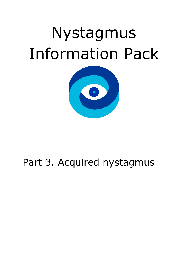# Nystagmus Information Pack



# Part 3. Acquired nystagmus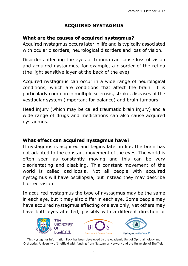# **ACQUIRED NYSTAGMUS**

#### **What are the causes of acquired nystagmus?**

Acquired nystagmus occurs later in life and is typically associated with ocular disorders, neurological disorders and loss of vision.

Disorders affecting the eyes or trauma can cause loss of vision and acquired nystagmus, for example, a disorder of the retina (the light sensitive layer at the back of the eye).

Acquired nystagmus can occur in a wide range of neurological conditions, which are conditions that affect the brain. It is particularly common in multiple sclerosis, stroke, diseases of the vestibular system (important for balance) and brain tumours.

Head injury (which may be called traumatic brain injury) and a wide range of drugs and medications can also cause acquired nystagmus.

#### **What effect can acquired nystagmus have?**

If nystagmus is acquired and begins later in life, the brain has not adapted to the constant movement of the eyes. The world is often seen as constantly moving and this can be very disorientating and disabling. This constant movement of the world is called oscillopsia. Not all people with acquired nystagmus will have oscillopsia, but instead they may describe blurred vision.

In acquired nystagmus the type of nystagmus may be the same in each eye, but it may also differ in each eye. Some people may have acquired nystagmus affecting one eye only, yet others may have both eyes affected, possibly with a different direction or





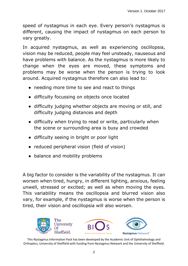speed of nystagmus in each eye. Every person's nystagmus is different, causing the impact of nystagmus on each person to vary greatly.

In acquired nystagmus, as well as experiencing oscillopsia, vision may be reduced, people may feel unsteady, nauseous and have problems with balance. As the nystagmus is more likely to change when the eyes are moved, these symptoms and problems may be worse when the person is trying to look around. Acquired nystagmus therefore can also lead to:

- needing more time to see and react to things
- difficulty focussing on objects once located
- difficulty judging whether objects are moving or still, and difficulty judging distances and depth
- difficulty when trying to read or write, particularly when the scene or surrounding area is busy and crowded
- difficulty seeing in bright or poor light
- reduced peripheral vision (field of vision)
- balance and mobility problems

A big factor to consider is the variability of the nystagmus. It can worsen when tired, hungry, in different lighting, anxious, feeling unwell, stressed or excited; as well as when moving the eyes. This variability means the oscillopsia and blurred vision also vary, for example, if the nystagmus is worse when the person is tired, their vision and oscillopsia will also worsen.

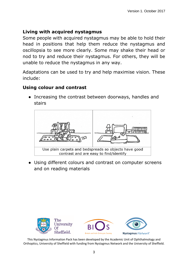#### **Living with acquired nystagmus**

Some people with acquired nystagmus may be able to hold their head in positions that help them reduce the nystagmus and oscillopsia to see more clearly. Some may shake their head or nod to try and reduce their nystagmus. For others, they will be unable to reduce the nystagmus in any way.

Adaptations can be used to try and help maximise vision. These include:

#### **Using colour and contrast**

• Increasing the contrast between doorways, handles and stairs



• Using different colours and contrast on computer screens and on reading materials

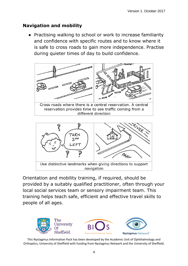#### **Navigation and mobility**

● Practising walking to school or work to increase familiarity and confidence with specific routes and to know where it is safe to cross roads to gain more independence. Practise during quieter times of day to build confidence.





Orientation and mobility training, if required, should be provided by a suitably qualified practitioner, often through your local social services team or sensory impairment team. This training helps teach safe, efficient and effective travel skills to people of all ages.

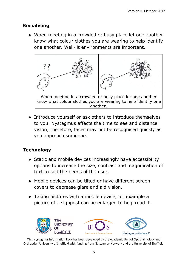# **Socialising**

• When meeting in a crowded or busy place let one another know what colour clothes you are wearing to help identify one another. Well-lit environments are important.



• Introduce yourself or ask others to introduce themselves to you. Nystagmus affects the time to see and distance vision; therefore, faces may not be recognised quickly as you approach someone.

# **Technology**

- Static and mobile devices increasingly have accessibility options to increase the size, contrast and magnification of text to suit the needs of the user.
- Mobile devices can be tilted or have different screen covers to decrease glare and aid vision.
- Taking pictures with a mobile device, for example a picture of a signpost can be enlarged to help read it.

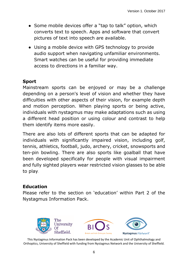- Some mobile devices offer a "tap to talk" option, which converts text to speech. Apps and software that convert pictures of text into speech are available.
- Using a mobile device with GPS technology to provide audio support when navigating unfamiliar environments. Smart watches can be useful for providing immediate access to directions in a familiar way.

## **Sport**

Mainstream sports can be enjoyed or may be a challenge depending on a person's level of vision and whether they have difficulties with other aspects of their vision, for example depth and motion perception. When playing sports or being active, individuals with nystagmus may make adaptations such as using a different head position or using colour and contrast to help them identify items more easily.

There are also lots of different sports that can be adapted for individuals with significantly impaired vision, including golf, tennis, athletics, football, judo, archery, cricket, snowsports and ten-pin bowling. There are also sports like goalball that have been developed specifically for people with visual impairment and fully sighted players wear restricted vision glasses to be able to play.

#### **Education**

Please refer to the section on 'education' within Part 2 of the Nystagmus Information Pack.